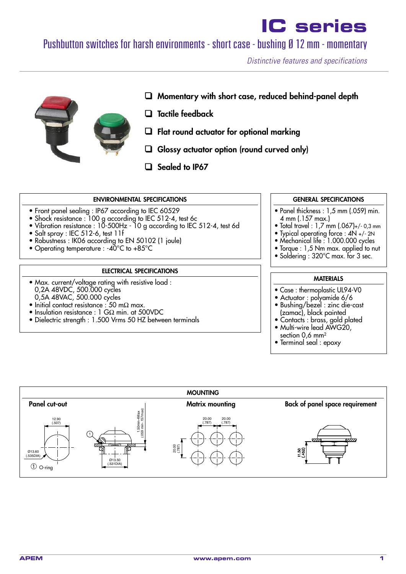## Pushbutton switches for harsh environments - short case - bushing Ø 12 mm - momentary

*Distinctive features and specifications*



### ❑ **Momentary with short case, reduced behind-panel depth**

- ❑ **Tactile feedback**
- ❑ **Flat round actuator for optional marking**
- ❑ **Glossy actuator option (round curved only)**
- ❑ **Sealed to IP67**

#### **ENVIRONMENTAL SPECIFICATIONS**

- Front panel sealing : IP67 according to IEC 60529
- Shock resistance : 100 g according to IEC 512-4, test 6c
- Vibration resistance : 10-500Hz 10 g according to IEC 512-4, test 6d
- Salt spray : IEC 512-6, test 11f
- Robustness : IK06 according to EN 50102 (1 joule)
- Operating temperature : -40°C to +85°C

#### **ELECTRICAL SPECIFICATIONS**

- Max. current/voltage rating with resistive load : 0,2A 48VDC, 500.000 cycles 0,5A 48VAC, 500.000 cycles
- Initial contact resistance : 50 mΩ max.
- Insulation resistance : 1 GΩ min. at 500VDC
- Dielectric strength : 1.500 Vrms 50 HZ between terminals

#### **GENERAL SPECIFICATIONS**

- Panel thickness : 1,5 mm (.059) min. 4 mm (.157 max.)
- Total travel : 1,7 mm (.067)+/- 0,3 mm
- Typical operating force : 4N +/- 2N
- Mechanical life : 1.000.000 cycles
- Torque : 1,5 Nm max. applied to nut • Soldering: 320°C max. for 3 sec.
- 

#### **MATERIALS**

- Case : thermoplastic UL94-V0
- Actuator : polyamide 6/6
- Bushing/bezel : zinc die-cast (zamac), black painted
- Contacts : brass, gold plated • Multi-wire lead AWG20,
- section 0,6 mm2
- Terminal seal : epoxy

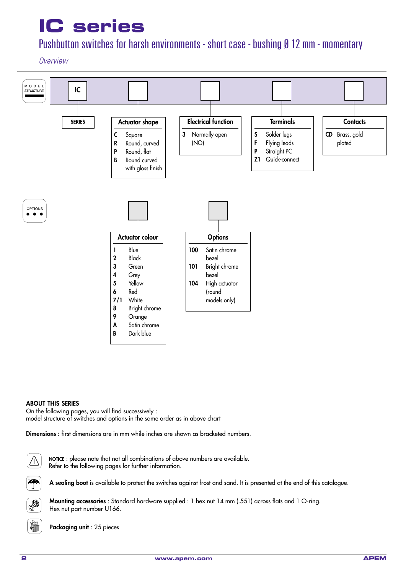## Pushbutton switches for harsh environments - short case - bushing Ø 12 mm - momentary

### *Overview*



#### **ABOUT THIS SERIES**

On the following pages, you will find successively : model structure of switches and options in the same order as in above chart

**Dimensions :** first dimensions are in mm while inches are shown as bracketed numbers.

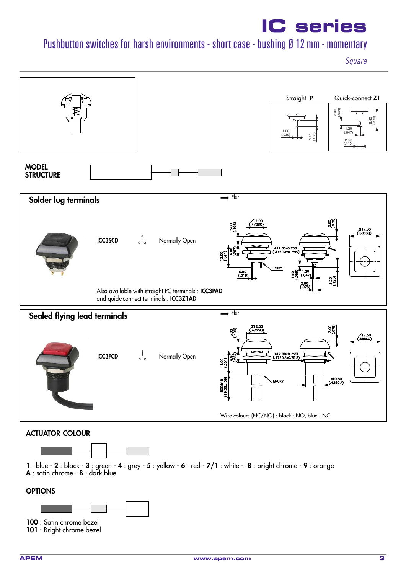## Pushbutton switches for harsh environments - short case - bushing Ø 12 mm - momentary

*Square*

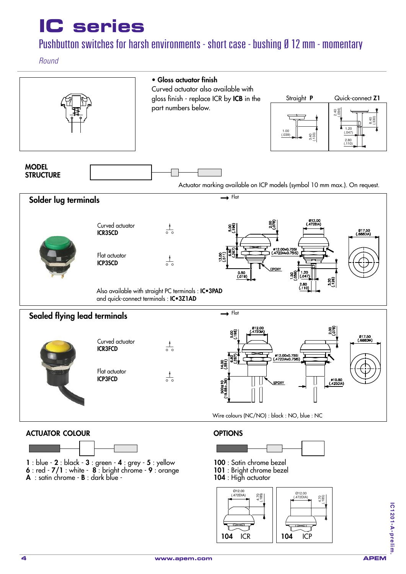## Pushbutton switches for harsh environments - short case - bushing Ø 12 mm - momentary

*Round*



**104** ICR **104** ICP